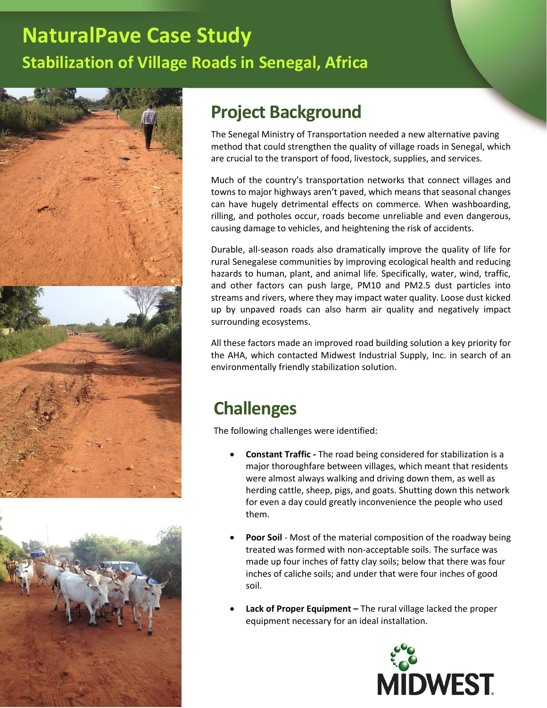## **NaturalPave Case Study Stabilization of Village Roads in Senegal, Africa**





## **Project Background**

The Senegal Ministry of Transportation needed a new alternative paving method that could strengthen the quality of village roads in Senegal, which are crucial to the transport of food, livestock, supplies, and services.

Much of the country's transportation networks that connect villages and towns to major highways aren't paved, which means that seasonal changes can have hugely detrimental effects on commerce. When washboarding, rilling, and potholes occur, roads become unreliable and even dangerous, causing damage to vehicles, and heightening the risk of accidents.

Durable, all-season roads also dramatically improve the quality of life for rural Senegalese communities by improving ecological health and reducing hazards to human, plant, and animal life. Specifically, water, wind, traffic, and other factors can push large, PM10 and PM2.5 dust particles into streams and rivers, where they may impact water quality. Loose dust kicked up by unpaved roads can also harm air quality and negatively impact surrounding ecosystems.

All these factors made an improved road building solution a key priority for the AHA, which contacted Midwest Industrial Supply, Inc. in search of an environmentally friendly stabilization solution.

### **Challenges**

The following challenges were identified:

- **Constant Traffic -** The road being considered for stabilization is a major thoroughfare between villages, which meant that residents were almost always walking and driving down them, as well as herding cattle, sheep, pigs, and goats. Shutting down this network for even a day could greatly inconvenience the people who used them.
- **Poor Soil** Most of the material composition of the roadway being treated was formed with non-acceptable soils. The surface was made up four inches of fatty clay soils; below that there was four inches of caliche soils; and under that were four inches of good soil.
- **Lack of Proper Equipment –** The rural village lacked the proper equipment necessary for an ideal installation.

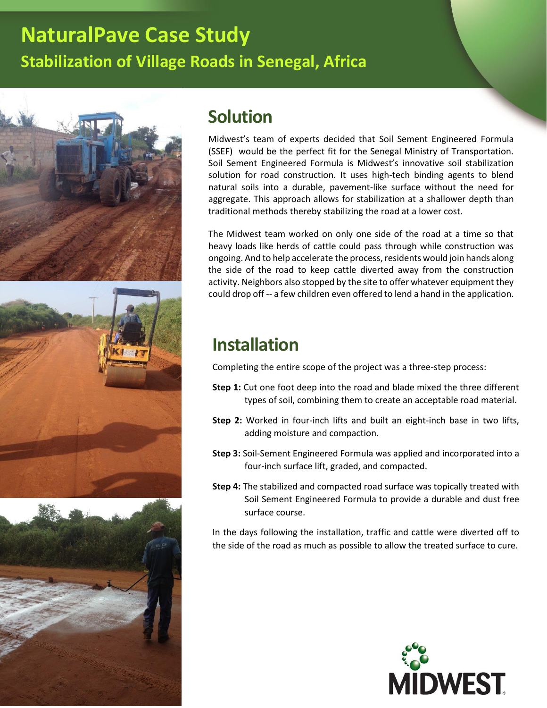# **NaturalPave Case Study Stabilization of Village Roads in Senegal, Africa**







#### **Solution**

Midwest's team of experts decided that Soil Sement Engineered Formula (SSEF) would be the perfect fit for the Senegal Ministry of Transportation. Soil Sement Engineered Formula is Midwest's innovative soil stabilization solution for road construction. It uses high-tech binding agents to blend natural soils into a durable, pavement-like surface without the need for aggregate. This approach allows for stabilization at a shallower depth than traditional methods thereby stabilizing the road at a lower cost.

The Midwest team worked on only one side of the road at a time so that heavy loads like herds of cattle could pass through while construction was ongoing. And to help accelerate the process, residents would join hands along the side of the road to keep cattle diverted away from the construction activity. Neighbors also stopped by the site to offer whatever equipment they could drop off -- a few children even offered to lend a hand in the application.

#### **Installation**

Completing the entire scope of the project was a three-step process:

- **Step 1:** Cut one foot deep into the road and blade mixed the three different types of soil, combining them to create an acceptable road material.
- **Step 2:** Worked in four-inch lifts and built an eight-inch base in two lifts, adding moisture and compaction.
- **Step 3:** Soil-Sement Engineered Formula was applied and incorporated into a four-inch surface lift, graded, and compacted.
- **Step 4:** The stabilized and compacted road surface was topically treated with Soil Sement Engineered Formula to provide a durable and dust free surface course.

In the days following the installation, traffic and cattle were diverted off to the side of the road as much as possible to allow the treated surface to cure.